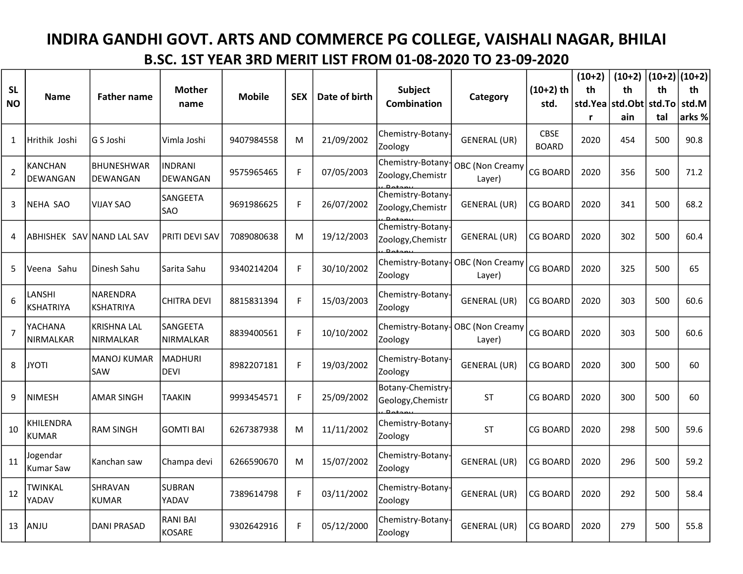## INDIRA GANDHI GOVT. ARTS AND COMMERCE PG COLLEGE, VAISHALI NAGAR, BHILAI B.SC. 1ST YEAR 3RD MERIT LIST FROM 01-08-2020 TO 23-09-2020

|                | <b>Name</b>                       | <b>Father name</b>           | <b>Mother</b><br>name             | <b>Mobile</b> | <b>SEX</b> | Date of birth | Subject<br><b>Combination</b>          | Category                                     |                             | $(10+2)$ | $(10+2)$ $ (10+2) (10+2) $ |     |        |
|----------------|-----------------------------------|------------------------------|-----------------------------------|---------------|------------|---------------|----------------------------------------|----------------------------------------------|-----------------------------|----------|----------------------------|-----|--------|
| <b>SL</b>      |                                   |                              |                                   |               |            |               |                                        |                                              | $(10+2)$ th                 | th       | th                         | th  | th     |
| <b>NO</b>      |                                   |                              |                                   |               |            |               |                                        |                                              | std.                        | std.Yea  | std.Obt std.To             |     | std.M  |
|                |                                   |                              |                                   |               |            |               |                                        |                                              |                             | r        | ain                        | tal | arks % |
| 1              | Hrithik Joshi                     | G S Joshi                    | Vimla Joshi                       | 9407984558    | M          | 21/09/2002    | Chemistry-Botany-<br>Zoology           | GENERAL (UR)                                 | <b>CBSE</b><br><b>BOARD</b> | 2020     | 454                        | 500 | 90.8   |
| $\overline{2}$ | <b>KANCHAN</b><br><b>DEWANGAN</b> | BHUNESHWAR<br>DEWANGAN       | <b>INDRANI</b><br><b>DEWANGAN</b> | 9575965465    | F.         | 07/05/2003    | Zoology, Chemistr                      | Chemistry-Botany   OBC (Non Creamy<br>Layer) | <b>CG BOARD</b>             | 2020     | 356                        | 500 | 71.2   |
| 3              | NEHA SAO                          | <b>VIJAY SAO</b>             | SANGEETA<br><b>SAO</b>            | 9691986625    | F.         | 26/07/2002    | Chemistry-Botany-<br>Zoology, Chemistr | GENERAL (UR)                                 | CG BOARD                    | 2020     | 341                        | 500 | 68.2   |
| 4              | ABHISHEK SAV NAND LAL SAV         |                              | <b>PRITI DEVI SAV</b>             | 7089080638    | M          | 19/12/2003    | Chemistry-Botany-<br>Zoology, Chemistr | <b>GENERAL (UR)</b>                          | CG BOARD                    | 2020     | 302                        | 500 | 60.4   |
| 5              | Veena Sahu                        | Dinesh Sahu                  | Sarita Sahu                       | 9340214204    | F          | 30/10/2002    | Chemistry-Botany-<br>Zoology           | OBC (Non Creamy<br>Layer)                    | <b>CG BOARD</b>             | 2020     | 325                        | 500 | 65     |
| 6              | LANSHI<br>KSHATRIYA               | NARENDRA<br><b>KSHATRIYA</b> | <b>CHITRA DEVI</b>                | 8815831394    | F          | 15/03/2003    | Chemistry-Botany-<br>Zoology           | <b>GENERAL (UR)</b>                          | <b>CG BOARD</b>             | 2020     | 303                        | 500 | 60.6   |
| $\overline{7}$ | YACHANA<br>NIRMALKAR              | KRISHNA LAL<br>NIRMALKAR     | SANGEETA<br>NIRMALKAR             | 8839400561    | F          | 10/10/2002    | Chemistry-Botany-<br>Zoology           | <b>OBC</b> (Non Creamy<br>Layer)             | <b>CG BOARD</b>             | 2020     | 303                        | 500 | 60.6   |
| 8              | <b>JYOTI</b>                      | <b>MANOJ KUMAR</b><br>SAW    | MADHURI<br><b>DEVI</b>            | 8982207181    | F          | 19/03/2002    | Chemistry-Botany-<br>Zoology           | <b>GENERAL (UR)</b>                          | <b>CG BOARD</b>             | 2020     | 300                        | 500 | 60     |
| 9              | NIMESH                            | <b>AMAR SINGH</b>            | <b>TAAKIN</b>                     | 9993454571    | F.         | 25/09/2002    | Botany-Chemistry-<br>Geology, Chemistr | <b>ST</b>                                    | <b>CG BOARD</b>             | 2020     | 300                        | 500 | 60     |
| 10             | KHILENDRA<br>KUMAR                | <b>RAM SINGH</b>             | <b>GOMTI BAI</b>                  | 6267387938    | M          | 11/11/2002    | Chemistry-Botany-<br>Zoology           | <b>ST</b>                                    | <b>CG BOARD</b>             | 2020     | 298                        | 500 | 59.6   |
| 11             | Jogendar<br><b>Kumar Saw</b>      | Kanchan saw                  | Champa devi                       | 6266590670    | M          | 15/07/2002    | Chemistry-Botany-<br>Zoology           | <b>GENERAL (UR)</b>                          | <b>CG BOARD</b>             | 2020     | 296                        | 500 | 59.2   |
| 12             | TWINKAL<br>YADAV                  | SHRAVAN<br><b>KUMAR</b>      | <b>SUBRAN</b><br>YADAV            | 7389614798    | F.         | 03/11/2002    | Chemistry-Botany-<br>Zoology           | <b>GENERAL (UR)</b>                          | <b>CG BOARD</b>             | 2020     | 292                        | 500 | 58.4   |
| 13             | ANJU                              | <b>DANI PRASAD</b>           | <b>RANI BAI</b><br><b>KOSARE</b>  | 9302642916    | F          | 05/12/2000    | Chemistry-Botany-<br>Zoology           | <b>GENERAL (UR)</b>                          | <b>CG BOARD</b>             | 2020     | 279                        | 500 | 55.8   |